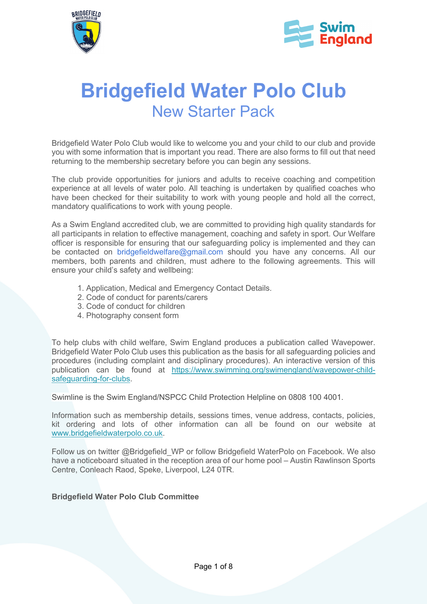



# **Bridgefield Water Polo Club** New Starter Pack

Bridgefield Water Polo Club would like to welcome you and your child to our club and provide you with some information that is important you read. There are also forms to fill out that need returning to the membership secretary before you can begin any sessions.

The club provide opportunities for juniors and adults to receive coaching and competition experience at all levels of water polo. All teaching is undertaken by qualified coaches who have been checked for their suitability to work with young people and hold all the correct, mandatory qualifications to work with young people.

As a Swim England accredited club, we are committed to providing high quality standards for all participants in relation to effective management, coaching and safety in sport. Our Welfare officer is responsible for ensuring that our safeguarding policy is implemented and they can be contacted on bridgefieldwelfare@gmail.com should you have any concerns. All our members, both parents and children, must adhere to the following agreements. This will ensure your child's safety and wellbeing:

- 1. Application, Medical and Emergency Contact Details.
- 2. Code of conduct for parents/carers
- 3. Code of conduct for children
- 4. Photography consent form

To help clubs with child welfare, Swim England produces a publication called Wavepower. Bridgefield Water Polo Club uses this publication as the basis for all safeguarding policies and procedures (including complaint and disciplinary procedures). An interactive version of this publication can be found at https://www.swimming.org/swimengland/wavepower-childsafeguarding-for-clubs.

Swimline is the Swim England/NSPCC Child Protection Helpline on 0808 100 4001.

Information such as membership details, sessions times, venue address, contacts, policies, kit ordering and lots of other information can all be found on our website at www.bridgefieldwaterpolo.co.uk.

Follow us on twitter @Bridgefield\_WP or follow Bridgefield WaterPolo on Facebook. We also have a noticeboard situated in the reception area of our home pool – Austin Rawlinson Sports Centre, Conleach Raod, Speke, Liverpool, L24 0TR.

**Bridgefield Water Polo Club Committee**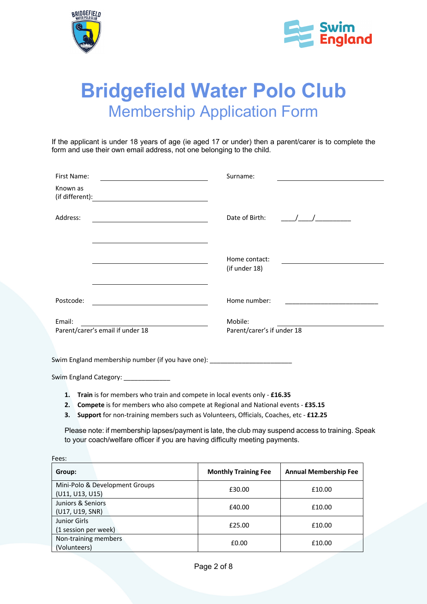



## **Bridgefield Water Polo Club** Membership Application Form

If the applicant is under 18 years of age (ie aged 17 or under) then a parent/carer is to complete the form and use their own email address, not one belonging to the child.

| First Name:                                                                                                                                           | Surname:                                                                                                                                                                                                                                                                                                                              |
|-------------------------------------------------------------------------------------------------------------------------------------------------------|---------------------------------------------------------------------------------------------------------------------------------------------------------------------------------------------------------------------------------------------------------------------------------------------------------------------------------------|
| Known as<br>(if different):<br><u> 1989 - Johann Stoff, deutscher Stoffen und der Stoffen und der Stoffen und der Stoffen und der Stoffen und der</u> |                                                                                                                                                                                                                                                                                                                                       |
| Address:                                                                                                                                              | Date of Birth:<br>$\frac{1}{2}$ $\frac{1}{2}$ $\frac{1}{2}$ $\frac{1}{2}$ $\frac{1}{2}$ $\frac{1}{2}$ $\frac{1}{2}$ $\frac{1}{2}$ $\frac{1}{2}$ $\frac{1}{2}$ $\frac{1}{2}$ $\frac{1}{2}$ $\frac{1}{2}$ $\frac{1}{2}$ $\frac{1}{2}$ $\frac{1}{2}$ $\frac{1}{2}$ $\frac{1}{2}$ $\frac{1}{2}$ $\frac{1}{2}$ $\frac{1}{2}$ $\frac{1}{2}$ |
|                                                                                                                                                       | Home contact:<br><u> 1990 - Andrea Station Books, ameri</u> kansk kon<br>(if under 18)                                                                                                                                                                                                                                                |
| Postcode:<br><u> 1980 - Johann Barn, mars ann an t-Amhain Aonaich an t-Aonaich an t-Aonaich ann an t-Aonaich ann an t-Aonaich</u>                     | Home number:                                                                                                                                                                                                                                                                                                                          |
| Email:<br><u> 1989 - Johann Barbara, martxa a</u>                                                                                                     | Mobile:                                                                                                                                                                                                                                                                                                                               |
| Parent/carer's email if under 18                                                                                                                      | Parent/carer's if under 18                                                                                                                                                                                                                                                                                                            |
| Swim England membership number (if you have one): _________________________                                                                           |                                                                                                                                                                                                                                                                                                                                       |
| Swim England Category: _______________                                                                                                                |                                                                                                                                                                                                                                                                                                                                       |

- **1. Train** is for members who train and compete in local events only **£16.35**
- **2. Compete** is for members who also compete at Regional and National events **£35.15**
- **3. Support** for non-training members such as Volunteers, Officials, Coaches, etc **£12.25**

Please note: if membership lapses/payment is late, the club may suspend access to training. Speak to your coach/welfare officer if you are having difficulty meeting payments.

| Fees:                                             |                             |                              |
|---------------------------------------------------|-----------------------------|------------------------------|
| Group:                                            | <b>Monthly Training Fee</b> | <b>Annual Membership Fee</b> |
| Mini-Polo & Development Groups<br>(U11, U13, U15) | £30.00                      | £10.00                       |
| Juniors & Seniors<br>(U17, U19, SNR)              | £40.00                      | £10.00                       |
| Junior Girls<br>(1 session per week)              | £25.00                      | £10.00                       |
| Non-training members<br>(Volunteers)              | £0.00                       | £10.00                       |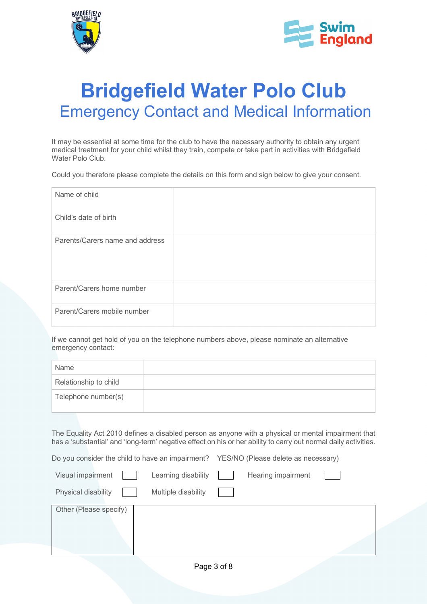



## **Bridgefield Water Polo Club** Emergency Contact and Medical Information

It may be essential at some time for the club to have the necessary authority to obtain any urgent medical treatment for your child whilst they train, compete or take part in activities with Bridgefield Water Polo Club.

Could you therefore please complete the details on this form and sign below to give your consent.

| Name of child                   |  |
|---------------------------------|--|
| Child's date of birth           |  |
| Parents/Carers name and address |  |
| Parent/Carers home number       |  |
| Parent/Carers mobile number     |  |

If we cannot get hold of you on the telephone numbers above, please nominate an alternative emergency contact:

| Name                  |  |
|-----------------------|--|
| Relationship to child |  |
| Telephone number(s)   |  |

The Equality Act 2010 defines a disabled person as anyone with a physical or mental impairment that has a 'substantial' and 'long-term' negative effect on his or her ability to carry out normal daily activities.

Do you consider the child to have an impairment? YES/NO (Please delete as necessary)

| Visual impairment      | Learning disability | Hearing impairment |  |
|------------------------|---------------------|--------------------|--|
| Physical disability    | Multiple disability |                    |  |
| Other (Please specify) |                     |                    |  |
|                        |                     |                    |  |
|                        |                     |                    |  |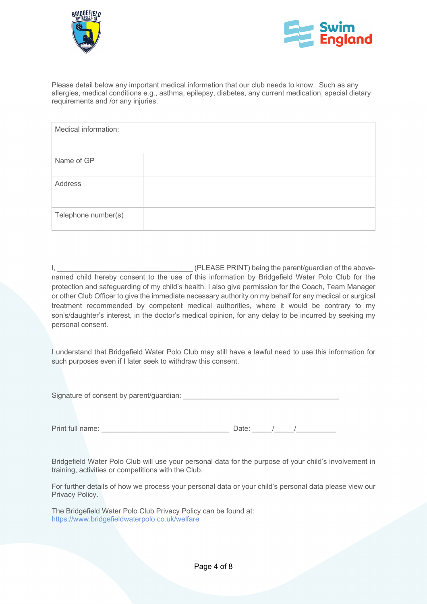



Please detail below any important medical information that our club needs to know. Such as any allergies, medical conditions e.g., asthma, epilepsy, diabetes, any current medication, special dietary requirements and /or any injuries.

| Medical information: |  |
|----------------------|--|
| Name of GP           |  |
| Address              |  |
| Telephone number(s)  |  |

I, **EXECUTE A LANSIFY CONSUMING THE ASSEMBLE PRINT**) being the parent/guardian of the abovenamed child hereby consent to the use of this information by Bridgefield Water Polo Club for the protection and safeguarding of my child's health. I also give permission for the Coach, Team Manager or other Club Officer to give the immediate necessary authority on my behalf for any medical or surgical treatment recommended by competent medical authorities, where it would be contrary to my son's/daughter's interest, in the doctor's medical opinion, for any delay to be incurred by seeking my personal consent.

I understand that Bridgefield Water Polo Club may still have a lawful need to use this information for such purposes even if I later seek to withdraw this consent.

Signature of consent by parent/guardian:

Print full name:  $\blacksquare$ 

| Date: |  |  |  |
|-------|--|--|--|
|       |  |  |  |

Bridgefield Water Polo Club will use your personal data for the purpose of your child's involvement in training, activities or competitions with the Club.

For further details of how we process your personal data or your child's personal data please view our Privacy Policy.

The Bridgefield Water Polo Club Privacy Policy can be found at: https://www.bridgefieldwaterpolo.co.uk/welfare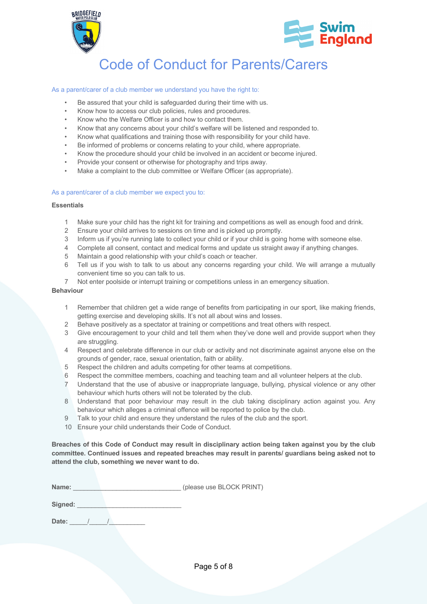



## Code of Conduct for Parents/Carers

### As a parent/carer of a club member we understand you have the right to:

- Be assured that your child is safeguarded during their time with us.
- Know how to access our club policies, rules and procedures.
- Know who the Welfare Officer is and how to contact them.
- Know that any concerns about your child's welfare will be listened and responded to.
- Know what qualifications and training those with responsibility for your child have.
- Be informed of problems or concerns relating to your child, where appropriate.
- Know the procedure should your child be involved in an accident or become injured.
- Provide your consent or otherwise for photography and trips away.
- Make a complaint to the club committee or Welfare Officer (as appropriate).

### As a parent/carer of a club member we expect you to:

### **Essentials**

- 1 Make sure your child has the right kit for training and competitions as well as enough food and drink.
- 2 Ensure your child arrives to sessions on time and is picked up promptly.
- 3 Inform us if you're running late to collect your child or if your child is going home with someone else.
- 4 Complete all consent, contact and medical forms and update us straight away if anything changes.
- 5 Maintain a good relationship with your child's coach or teacher.
- 6 Tell us if you wish to talk to us about any concerns regarding your child. We will arrange a mutually convenient time so you can talk to us.
- 7 Not enter poolside or interrupt training or competitions unless in an emergency situation.

### **Behaviour**

- 1 Remember that children get a wide range of benefits from participating in our sport, like making friends, getting exercise and developing skills. It's not all about wins and losses.
- 2 Behave positively as a spectator at training or competitions and treat others with respect.
- 3 Give encouragement to your child and tell them when they've done well and provide support when they are struggling.
- 4 Respect and celebrate difference in our club or activity and not discriminate against anyone else on the grounds of gender, race, sexual orientation, faith or ability.
- 5 Respect the children and adults competing for other teams at competitions.
- 6 Respect the committee members, coaching and teaching team and all volunteer helpers at the club.
- 7 Understand that the use of abusive or inappropriate language, bullying, physical violence or any other behaviour which hurts others will not be tolerated by the club.
- 8 Understand that poor behaviour may result in the club taking disciplinary action against you. Any behaviour which alleges a criminal offence will be reported to police by the club.
- 9 Talk to your child and ensure they understand the rules of the club and the sport.
- 10 Ensure your child understands their Code of Conduct.

**Breaches of this Code of Conduct may result in disciplinary action being taken against you by the club committee. Continued issues and repeated breaches may result in parents/ guardians being asked not to attend the club, something we never want to do.**

**Name:**  $\blacksquare$  (please use BLOCK PRINT)

Signed:

**Date:** \_\_\_\_\_/\_\_\_\_\_/\_\_\_\_\_\_\_\_\_\_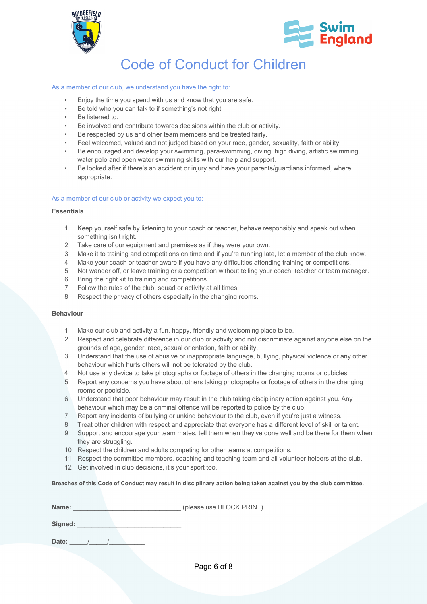



### Code of Conduct for Children

### As a member of our club, we understand you have the right to:

- Enjoy the time you spend with us and know that you are safe.
- Be told who you can talk to if something's not right.
- Be listened to.
- Be involved and contribute towards decisions within the club or activity.
- Be respected by us and other team members and be treated fairly.
- Feel welcomed, valued and not judged based on your race, gender, sexuality, faith or ability.
- Be encouraged and develop your swimming, para-swimming, diving, high diving, artistic swimming, water polo and open water swimming skills with our help and support.
- Be looked after if there's an accident or injury and have your parents/guardians informed, where appropriate.

### As a member of our club or activity we expect you to:

#### **Essentials**

- 1 Keep yourself safe by listening to your coach or teacher, behave responsibly and speak out when something isn't right.
- 2 Take care of our equipment and premises as if they were your own.
- 3 Make it to training and competitions on time and if you're running late, let a member of the club know.
- 4 Make your coach or teacher aware if you have any difficulties attending training or competitions.
- 5 Not wander off, or leave training or a competition without telling your coach, teacher or team manager.
- 6 Bring the right kit to training and competitions.
- 7 Follow the rules of the club, squad or activity at all times.
- 8 Respect the privacy of others especially in the changing rooms.

### **Behaviour**

- 1 Make our club and activity a fun, happy, friendly and welcoming place to be.
- 2 Respect and celebrate difference in our club or activity and not discriminate against anyone else on the grounds of age, gender, race, sexual orientation, faith or ability.
- 3 Understand that the use of abusive or inappropriate language, bullying, physical violence or any other behaviour which hurts others will not be tolerated by the club.
- 4 Not use any device to take photographs or footage of others in the changing rooms or cubicles.
- 5 Report any concerns you have about others taking photographs or footage of others in the changing rooms or poolside.
- 6 Understand that poor behaviour may result in the club taking disciplinary action against you. Any behaviour which may be a criminal offence will be reported to police by the club.
- 7 Report any incidents of bullying or unkind behaviour to the club, even if you're just a witness.
- 8 Treat other children with respect and appreciate that everyone has a different level of skill or talent.
- 9 Support and encourage your team mates, tell them when they've done well and be there for them when they are struggling.
- 10 Respect the children and adults competing for other teams at competitions.
- 11 Respect the committee members, coaching and teaching team and all volunteer helpers at the club.
- 12 Get involved in club decisions, it's your sport too.

**Breaches of this Code of Conduct may result in disciplinary action being taken against you by the club committee.**

| <b>Name:</b> | (please use BLOCK PRINT) |
|--------------|--------------------------|
|              |                          |

Signed:

Date: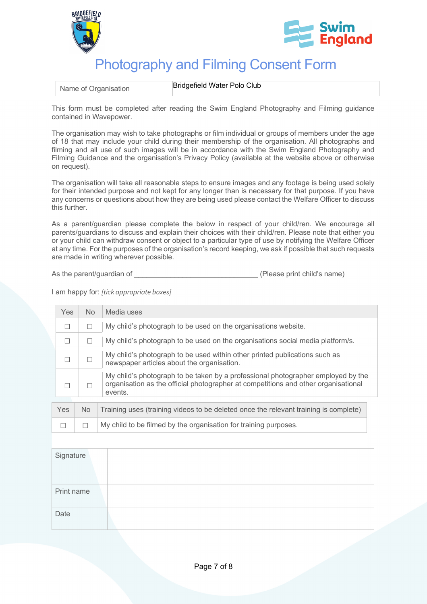



## Photography and Filming Consent Form

Name of Organisation **Bridgefield Water Polo Club** 

This form must be completed after reading the Swim England Photography and Filming guidance contained in Wavepower.

The organisation may wish to take photographs or film individual or groups of members under the age of 18 that may include your child during their membership of the organisation. All photographs and filming and all use of such images will be in accordance with the Swim England Photography and Filming Guidance and the organisation's Privacy Policy (available at the website above or otherwise on request).

The organisation will take all reasonable steps to ensure images and any footage is being used solely for their intended purpose and not kept for any longer than is necessary for that purpose. If you have any concerns or questions about how they are being used please contact the Welfare Officer to discuss this further.

As a parent/guardian please complete the below in respect of your child/ren. We encourage all parents/guardians to discuss and explain their choices with their child/ren. Please note that either you or your child can withdraw consent or object to a particular type of use by notifying the Welfare Officer at any time. For the purposes of the organisation's record keeping, we ask if possible that such requests are made in writing wherever possible.

As the parent/guardian of  $(Please print child's name)$ 

I am happy for: *[tick appropriate boxes]*

| Yes | No. | Media uses                                                                                                                                                                        |
|-----|-----|-----------------------------------------------------------------------------------------------------------------------------------------------------------------------------------|
|     | □   | My child's photograph to be used on the organisations website.                                                                                                                    |
|     | ⊔   | My child's photograph to be used on the organisations social media platform/s.                                                                                                    |
|     | П   | My child's photograph to be used within other printed publications such as<br>newspaper articles about the organisation.                                                          |
|     |     | My child's photograph to be taken by a professional photographer employed by the<br>organisation as the official photographer at competitions and other organisational<br>events. |
|     |     |                                                                                                                                                                                   |
| Yes | No. | Training uses (training videos to be deleted once the relevant training is complete)                                                                                              |

| $\Box$ $\Box$ My child to be filmed by the organisation for training purposes. |
|--------------------------------------------------------------------------------|
|--------------------------------------------------------------------------------|

| Signature  |  |
|------------|--|
| Print name |  |
| Date       |  |